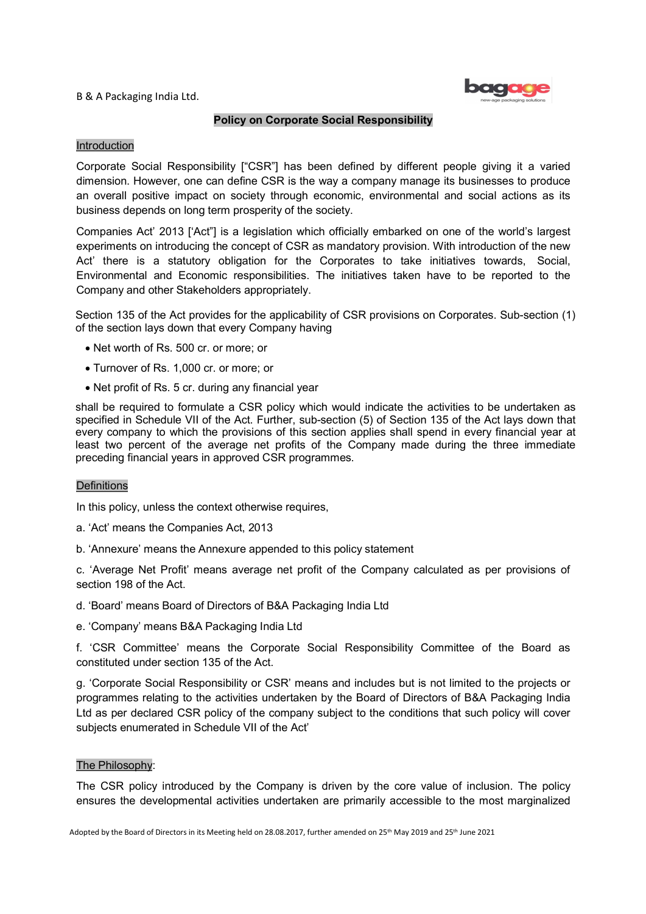B & A Packaging India Ltd.



## Policy on Corporate Social Responsibility

## Introduction

Corporate Social Responsibility ["CSR"] has been defined by different people giving it a varied dimension. However, one can define CSR is the way a company manage its businesses to produce an overall positive impact on society through economic, environmental and social actions as its business depends on long term prosperity of the society.

Companies Act' 2013 ['Act"] is a legislation which officially embarked on one of the world's largest experiments on introducing the concept of CSR as mandatory provision. With introduction of the new Act' there is a statutory obligation for the Corporates to take initiatives towards, Social, Environmental and Economic responsibilities. The initiatives taken have to be reported to the Company and other Stakeholders appropriately.

Section 135 of the Act provides for the applicability of CSR provisions on Corporates. Sub-section (1) of the section lays down that every Company having

- Net worth of Rs. 500 cr. or more; or
- Turnover of Rs. 1,000 cr. or more; or
- Net profit of Rs. 5 cr. during any financial year

shall be required to formulate a CSR policy which would indicate the activities to be undertaken as specified in Schedule VII of the Act. Further, sub-section (5) of Section 135 of the Act lays down that every company to which the provisions of this section applies shall spend in every financial year at least two percent of the average net profits of the Company made during the three immediate preceding financial years in approved CSR programmes.

## **Definitions**

In this policy, unless the context otherwise requires,

- a. 'Act' means the Companies Act, 2013
- b. 'Annexure' means the Annexure appended to this policy statement

c. 'Average Net Profit' means average net profit of the Company calculated as per provisions of section 198 of the Act.

- d. 'Board' means Board of Directors of B&A Packaging India Ltd
- e. 'Company' means B&A Packaging India Ltd

f. 'CSR Committee' means the Corporate Social Responsibility Committee of the Board as constituted under section 135 of the Act.

g. 'Corporate Social Responsibility or CSR' means and includes but is not limited to the projects or programmes relating to the activities undertaken by the Board of Directors of B&A Packaging India Ltd as per declared CSR policy of the company subject to the conditions that such policy will cover subjects enumerated in Schedule VII of the Act'

### The Philosophy:

The CSR policy introduced by the Company is driven by the core value of inclusion. The policy ensures the developmental activities undertaken are primarily accessible to the most marginalized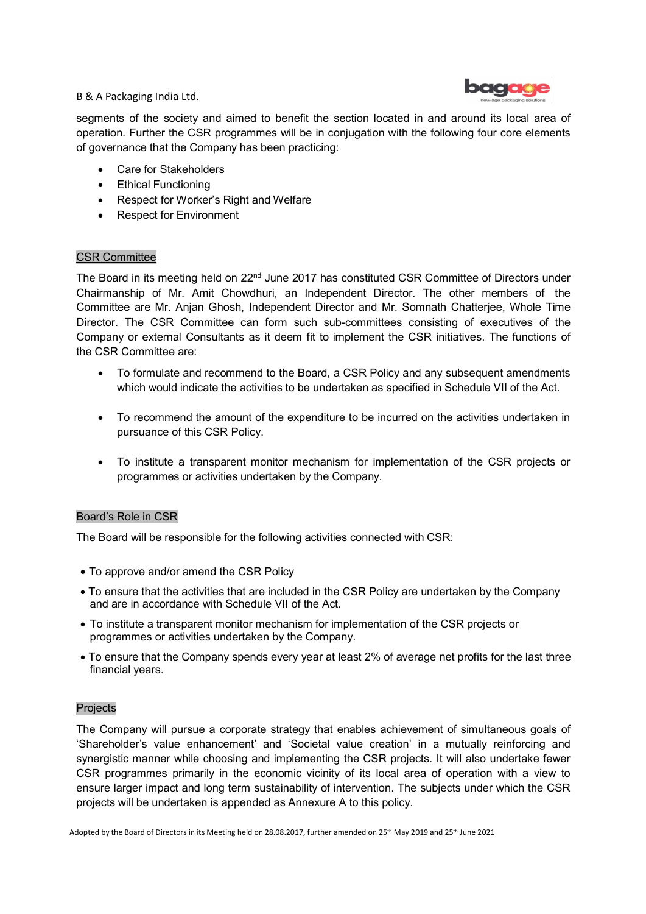

B & A Packaging India Ltd.

segments of the society and aimed to benefit the section located in and around its local area of operation. Further the CSR programmes will be in conjugation with the following four core elements of governance that the Company has been practicing:

- Care for Stakeholders
- Ethical Functioning
- Respect for Worker's Right and Welfare
- Respect for Environment

# CSR Committee

The Board in its meeting held on 22<sup>nd</sup> June 2017 has constituted CSR Committee of Directors under Chairmanship of Mr. Amit Chowdhuri, an Independent Director. The other members of the Committee are Mr. Anjan Ghosh, Independent Director and Mr. Somnath Chatterjee, Whole Time Director. The CSR Committee can form such sub-committees consisting of executives of the Company or external Consultants as it deem fit to implement the CSR initiatives. The functions of the CSR Committee are:

- To formulate and recommend to the Board, a CSR Policy and any subsequent amendments which would indicate the activities to be undertaken as specified in Schedule VII of the Act.
- To recommend the amount of the expenditure to be incurred on the activities undertaken in pursuance of this CSR Policy.
- To institute a transparent monitor mechanism for implementation of the CSR projects or programmes or activities undertaken by the Company.

# Board's Role in CSR

The Board will be responsible for the following activities connected with CSR:

- To approve and/or amend the CSR Policy
- To ensure that the activities that are included in the CSR Policy are undertaken by the Company and are in accordance with Schedule VII of the Act.
- To institute a transparent monitor mechanism for implementation of the CSR projects or programmes or activities undertaken by the Company.
- To ensure that the Company spends every year at least 2% of average net profits for the last three financial years.

# **Projects**

The Company will pursue a corporate strategy that enables achievement of simultaneous goals of 'Shareholder's value enhancement' and 'Societal value creation' in a mutually reinforcing and synergistic manner while choosing and implementing the CSR projects. It will also undertake fewer CSR programmes primarily in the economic vicinity of its local area of operation with a view to ensure larger impact and long term sustainability of intervention. The subjects under which the CSR projects will be undertaken is appended as Annexure A to this policy.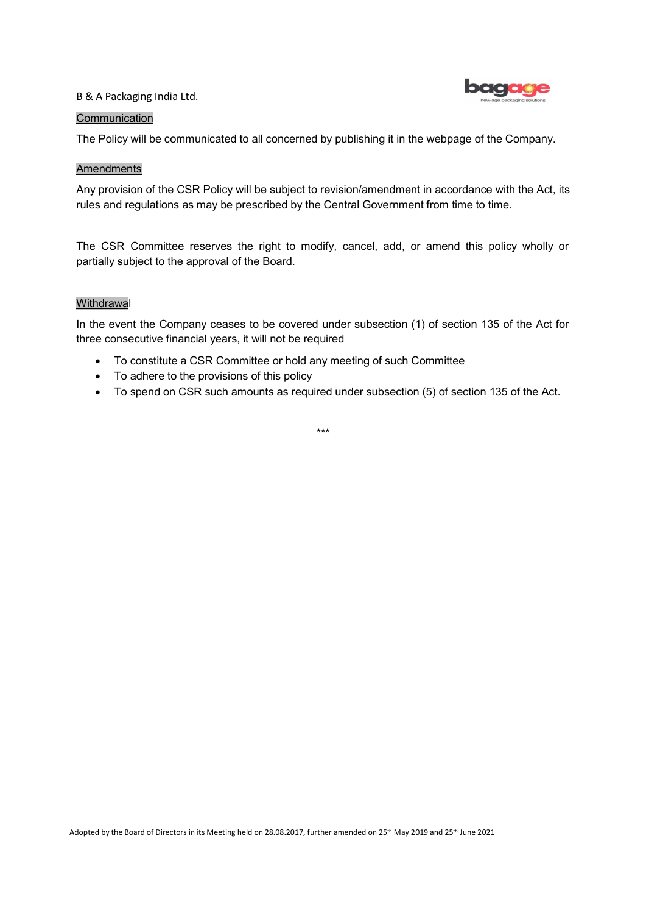### B & A Packaging India Ltd.



### **Communication**

The Policy will be communicated to all concerned by publishing it in the webpage of the Company.

#### Amendments

Any provision of the CSR Policy will be subject to revision/amendment in accordance with the Act, its rules and regulations as may be prescribed by the Central Government from time to time.

The CSR Committee reserves the right to modify, cancel, add, or amend this policy wholly or partially subject to the approval of the Board.

### **Withdrawal**

In the event the Company ceases to be covered under subsection (1) of section 135 of the Act for three consecutive financial years, it will not be required

- To constitute a CSR Committee or hold any meeting of such Committee
- To adhere to the provisions of this policy
- To spend on CSR such amounts as required under subsection (5) of section 135 of the Act.

\*\*\*